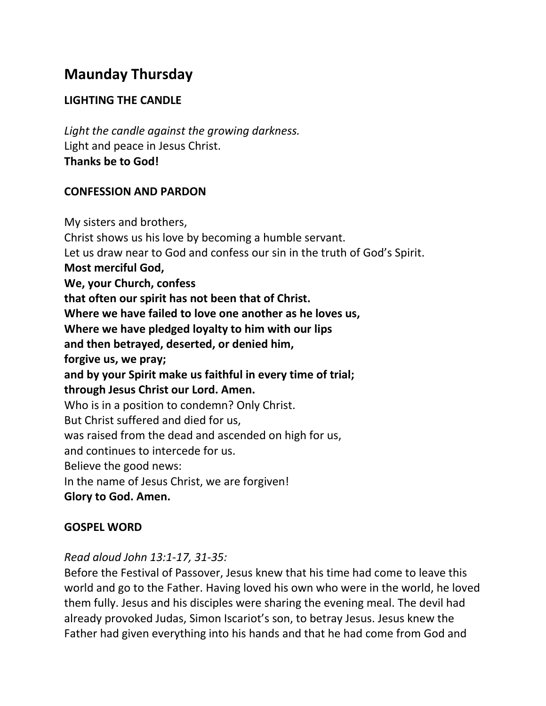# **Maunday Thursday**

# **LIGHTING THE CANDLE**

*Light the candle against the growing darkness.* Light and peace in Jesus Christ. **Thanks be to God!**

# **CONFESSION AND PARDON**

My sisters and brothers, Christ shows us his love by becoming a humble servant. Let us draw near to God and confess our sin in the truth of God's Spirit. **Most merciful God, We, your Church, confess that often our spirit has not been that of Christ. Where we have failed to love one another as he loves us, Where we have pledged loyalty to him with our lips and then betrayed, deserted, or denied him, forgive us, we pray; and by your Spirit make us faithful in every time of trial; through Jesus Christ our Lord. Amen.** Who is in a position to condemn? Only Christ. But Christ suffered and died for us, was raised from the dead and ascended on high for us, and continues to intercede for us. Believe the good news: In the name of Jesus Christ, we are forgiven! **Glory to God. Amen.**

# **GOSPEL WORD**

#### *Read aloud John 13:1-17, 31-35:*

Before the Festival of Passover, Jesus knew that his time had come to leave this world and go to the Father. Having loved his own who were in the world, he loved them fully. Jesus and his disciples were sharing the evening meal. The devil had already provoked Judas, Simon Iscariot's son, to betray Jesus. Jesus knew the Father had given everything into his hands and that he had come from God and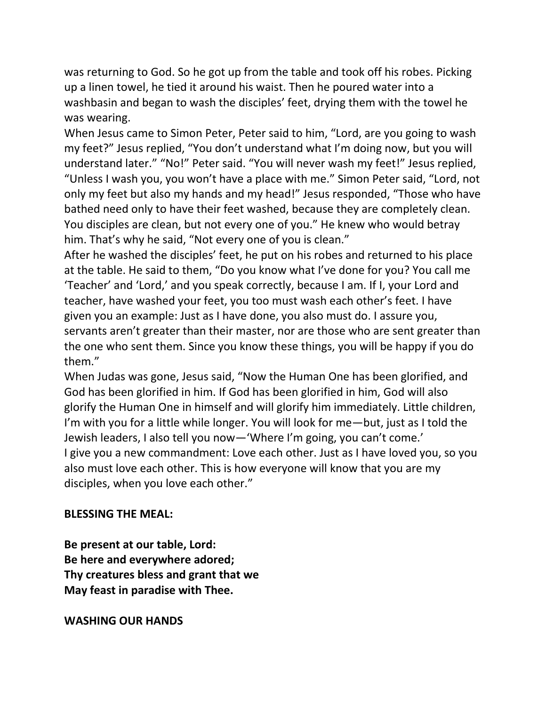was returning to God. So he got up from the table and took off his robes. Picking up a linen towel, he tied it around his waist. Then he poured water into a washbasin and began to wash the disciples' feet, drying them with the towel he was wearing.

When Jesus came to Simon Peter, Peter said to him, "Lord, are you going to wash my feet?" Jesus replied, "You don't understand what I'm doing now, but you will understand later." "No!" Peter said. "You will never wash my feet!" Jesus replied, "Unless I wash you, you won't have a place with me." Simon Peter said, "Lord, not only my feet but also my hands and my head!" Jesus responded, "Those who have bathed need only to have their feet washed, because they are completely clean. You disciples are clean, but not every one of you." He knew who would betray him. That's why he said, "Not every one of you is clean."

After he washed the disciples' feet, he put on his robes and returned to his place at the table. He said to them, "Do you know what I've done for you? You call me 'Teacher' and 'Lord,' and you speak correctly, because I am. If I, your Lord and teacher, have washed your feet, you too must wash each other's feet. I have given you an example: Just as I have done, you also must do. I assure you, servants aren't greater than their master, nor are those who are sent greater than the one who sent them. Since you know these things, you will be happy if you do them."

When Judas was gone, Jesus said, "Now the Human One has been glorified, and God has been glorified in him. If God has been glorified in him, God will also glorify the Human One in himself and will glorify him immediately. Little children, I'm with you for a little while longer. You will look for me—but, just as I told the Jewish leaders, I also tell you now—'Where I'm going, you can't come.' I give you a new commandment: Love each other. Just as I have loved you, so you also must love each other. This is how everyone will know that you are my disciples, when you love each other."

# **BLESSING THE MEAL:**

**Be present at our table, Lord: Be here and everywhere adored; Thy creatures bless and grant that we May feast in paradise with Thee.**

**WASHING OUR HANDS**